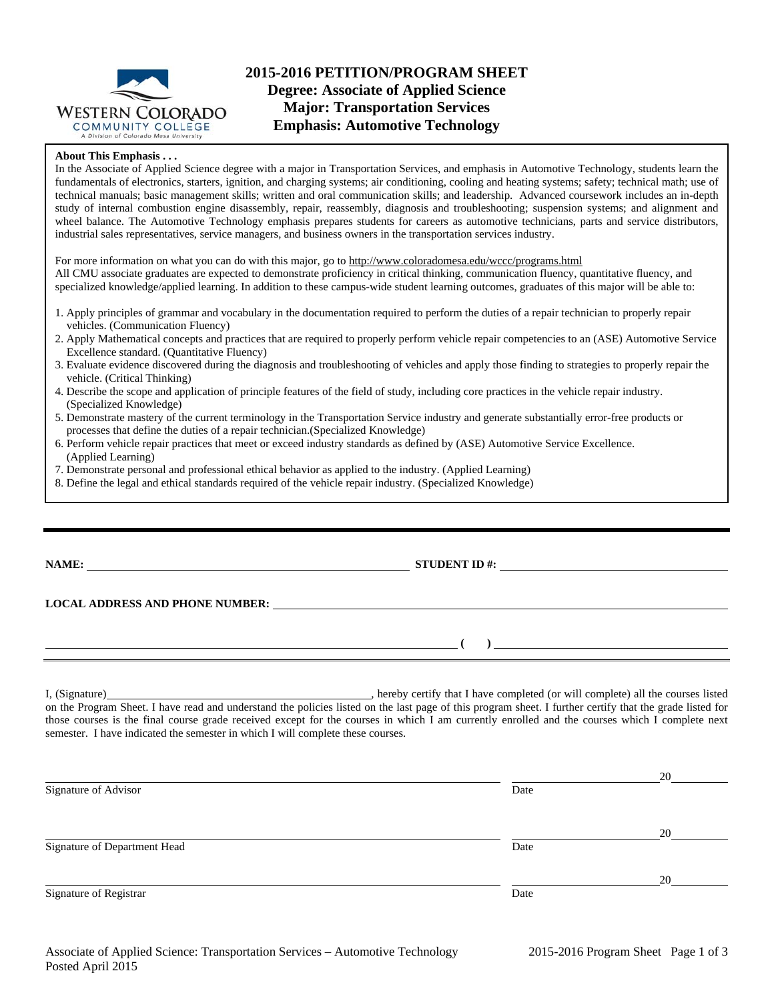

# **2015-2016 PETITION/PROGRAM SHEET Degree: Associate of Applied Science Major: Transportation Services Emphasis: Automotive Technology**

#### **About This Emphasis . . .**

In the Associate of Applied Science degree with a major in Transportation Services, and emphasis in Automotive Technology, students learn the fundamentals of electronics, starters, ignition, and charging systems; air conditioning, cooling and heating systems; safety; technical math; use of technical manuals; basic management skills; written and oral communication skills; and leadership. Advanced coursework includes an in-depth study of internal combustion engine disassembly, repair, reassembly, diagnosis and troubleshooting; suspension systems; and alignment and wheel balance. The Automotive Technology emphasis prepares students for careers as automotive technicians, parts and service distributors, industrial sales representatives, service managers, and business owners in the transportation services industry.

For more information on what you can do with this major, go to http://www.coloradomesa.edu/wccc/programs.html All CMU associate graduates are expected to demonstrate proficiency in critical thinking, communication fluency, quantitative fluency, and specialized knowledge/applied learning. In addition to these campus-wide student learning outcomes, graduates of this major will be able to:

- 1. Apply principles of grammar and vocabulary in the documentation required to perform the duties of a repair technician to properly repair vehicles. (Communication Fluency)
- 2. Apply Mathematical concepts and practices that are required to properly perform vehicle repair competencies to an (ASE) Automotive Service Excellence standard. (Quantitative Fluency)
- 3. Evaluate evidence discovered during the diagnosis and troubleshooting of vehicles and apply those finding to strategies to properly repair the vehicle. (Critical Thinking)
- 4. Describe the scope and application of principle features of the field of study, including core practices in the vehicle repair industry. (Specialized Knowledge)
- 5. Demonstrate mastery of the current terminology in the Transportation Service industry and generate substantially error-free products or processes that define the duties of a repair technician.(Specialized Knowledge)
- 6. Perform vehicle repair practices that meet or exceed industry standards as defined by (ASE) Automotive Service Excellence. (Applied Learning)
- 7. Demonstrate personal and professional ethical behavior as applied to the industry. (Applied Learning)
- 8. Define the legal and ethical standards required of the vehicle repair industry. (Specialized Knowledge)

|  | v | ٠ |  |
|--|---|---|--|

**NAME: STUDENT ID #: STUDENT ID #: STUDENT ID #: STUDENT ID #: STUDENT ID #: STUDENT ID #: STUDENT ID #: STUDENT ID #: STUDENT ID #: STUDENT ID #: STUDENT ID #: STUDENT ID #: STUDENT ID #: STUDE** 

#### **LOCAL ADDRESS AND PHONE NUMBER:**

 **( )** 

I, (Signature) , hereby certify that I have completed (or will complete) all the courses listed on the Program Sheet. I have read and understand the policies listed on the last page of this program sheet. I further certify that the grade listed for those courses is the final course grade received except for the courses in which I am currently enrolled and the courses which I complete next semester. I have indicated the semester in which I will complete these courses.

|                              |      | 20 |
|------------------------------|------|----|
| Signature of Advisor         | Date |    |
|                              |      |    |
|                              |      | 20 |
| Signature of Department Head | Date |    |
|                              |      |    |
|                              |      | 20 |
| Signature of Registrar       | Date |    |
|                              |      |    |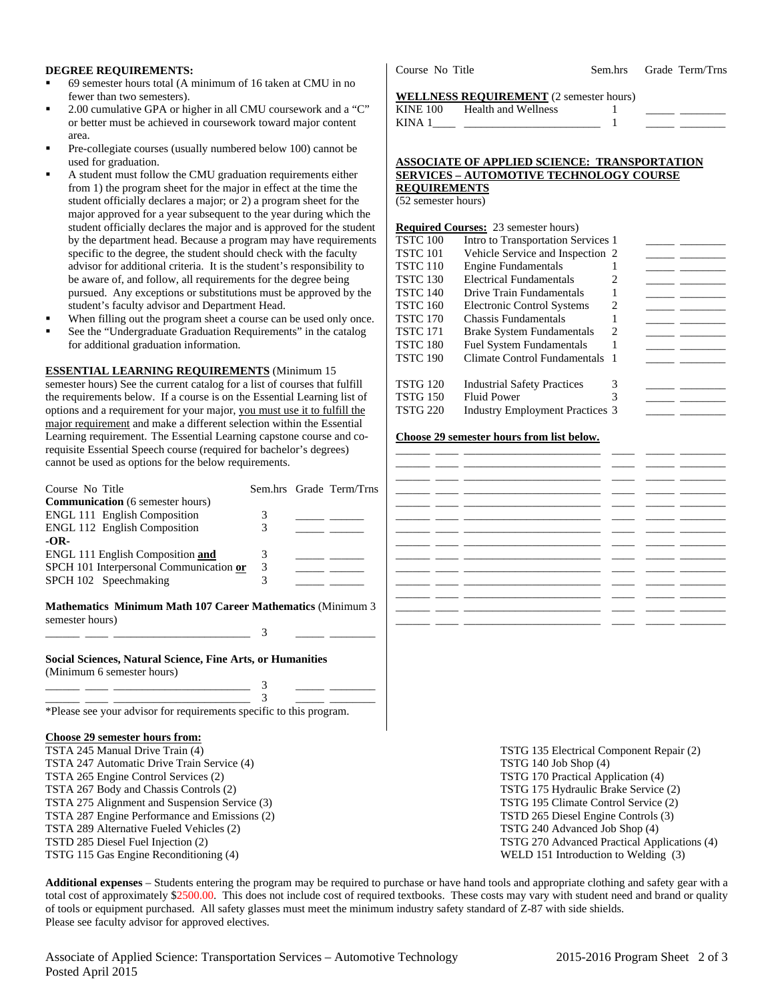#### **DEGREE REQUIREMENTS:**

- 69 semester hours total (A minimum of 16 taken at CMU in no fewer than two semesters).
- 2.00 cumulative GPA or higher in all CMU coursework and a "C" or better must be achieved in coursework toward major content area.
- Pre-collegiate courses (usually numbered below 100) cannot be used for graduation.
- A student must follow the CMU graduation requirements either from 1) the program sheet for the major in effect at the time the student officially declares a major; or 2) a program sheet for the major approved for a year subsequent to the year during which the student officially declares the major and is approved for the student by the department head. Because a program may have requirements specific to the degree, the student should check with the faculty advisor for additional criteria. It is the student's responsibility to be aware of, and follow, all requirements for the degree being pursued. Any exceptions or substitutions must be approved by the student's faculty advisor and Department Head.
- When filling out the program sheet a course can be used only once.
- See the "Undergraduate Graduation Requirements" in the catalog for additional graduation information.

#### **ESSENTIAL LEARNING REQUIREMENTS** (Minimum 15

semester hours) See the current catalog for a list of courses that fulfill the requirements below. If a course is on the Essential Learning list of options and a requirement for your major, you must use it to fulfill the major requirement and make a different selection within the Essential Learning requirement. The Essential Learning capstone course and corequisite Essential Speech course (required for bachelor's degrees) cannot be used as options for the below requirements.

| Course No Title                                                                                 |   | Sem.hrs Grade Term/Trns |  |                                          |  |
|-------------------------------------------------------------------------------------------------|---|-------------------------|--|------------------------------------------|--|
| <b>Communication</b> (6 semester hours)                                                         |   |                         |  |                                          |  |
| ENGL 111 English Composition                                                                    | 3 |                         |  |                                          |  |
| <b>ENGL 112 English Composition</b>                                                             | 3 |                         |  |                                          |  |
| $-OR-$                                                                                          |   |                         |  |                                          |  |
| ENGL 111 English Composition and                                                                | 3 |                         |  |                                          |  |
| SPCH 101 Interpersonal Communication or                                                         | 3 |                         |  |                                          |  |
| SPCH 102 Speechmaking                                                                           | 3 |                         |  |                                          |  |
| <b>Mathematics Minimum Math 107 Career Mathematics (Minimum 3)</b><br>semester hours)           |   |                         |  |                                          |  |
|                                                                                                 | 3 |                         |  |                                          |  |
| <b>Social Sciences, Natural Science, Fine Arts, or Humanities</b><br>(Minimum 6 semester hours) |   |                         |  |                                          |  |
|                                                                                                 |   |                         |  |                                          |  |
|                                                                                                 |   |                         |  |                                          |  |
| *Please see your advisor for requirements specific to this program.                             |   |                         |  |                                          |  |
| <b>Choose 29 semester hours from:</b>                                                           |   |                         |  |                                          |  |
| TSTA 245 Manual Drive Train (4)                                                                 |   |                         |  | TSTG 135 Electrical Component Repair (2) |  |
| TSTA 247 Automatic Drive Train Service (4)                                                      |   |                         |  | TSTG $140$ Job Shop $(4)$                |  |
| TSTA 265 Engine Control Services (2)                                                            |   |                         |  | TSTG 170 Practical Application (4)       |  |
| TSTA 267 Body and Chassis Controls (2)                                                          |   |                         |  | TSTG 175 Hydraulic Brake Service (2)     |  |
| TSTA 275 Alignment and Suspension Service (3)                                                   |   |                         |  | TSTG 195 Climate Control Service (2)     |  |
| TSTA 287 Engine Performance and Emissions (2)                                                   |   |                         |  | TSTD 265 Diesel Engine Controls (3)      |  |

- TSTA 289 Alternative Fueled Vehicles (2)
- TSTD 285 Diesel Fuel Injection (2)
- TSTG 115 Gas Engine Reconditioning (4)

Course No Title Sem.hrs Grade Term/Trns

## **WELLNESS REQUIREMENT** (2 semester hours)

| <b>KINE 100</b> | <b>Health and Wellness</b> |  |  |
|-----------------|----------------------------|--|--|
| KINA 1          |                            |  |  |
|                 |                            |  |  |

#### **ASSOCIATE OF APPLIED SCIENCE: TRANSPORTATION SERVICES – AUTOMOTIVE TECHNOLOGY COURSE REQUIREMENTS**

(52 semester hours)

### **Required Courses:** 23 semester hours)

| <b>TSTC 100</b> | Intro to Transportation Services 1     |                             |  |
|-----------------|----------------------------------------|-----------------------------|--|
| TSTC 101        | Vehicle Service and Inspection 2       |                             |  |
| TSTC 110        | <b>Engine Fundamentals</b>             |                             |  |
| TSTC 130        | <b>Electrical Fundamentals</b>         |                             |  |
| TSTC 140        | Drive Train Fundamentals               |                             |  |
| TSTC 160        | <b>Electronic Control Systems</b>      | 2                           |  |
| TSTC 170        | <b>Chassis Fundamentals</b>            |                             |  |
| TSTC 171        | <b>Brake System Fundamentals</b>       | $\mathcal{D}_{\mathcal{L}}$ |  |
| TSTC 180        | <b>Fuel System Fundamentals</b>        |                             |  |
| TSTC 190        | Climate Control Fundamentals 1         |                             |  |
|                 |                                        |                             |  |
| TSTG 120        | <b>Industrial Safety Practices</b>     |                             |  |
| TSTG 150        | <b>Fluid Power</b>                     |                             |  |
| TSTG 220        | <b>Industry Employment Practices 3</b> |                             |  |
|                 |                                        |                             |  |

## **Choose 29 semester hours from list below.**

|        | <u> 1980 - Jan Alexandro Alexandro III (m. 1980)</u> |                          | $\sim$ $\sim$ $\sim$ $\sim$ |
|--------|------------------------------------------------------|--------------------------|-----------------------------|
|        |                                                      |                          |                             |
| ______ |                                                      |                          |                             |
|        |                                                      |                          |                             |
|        |                                                      |                          |                             |
|        |                                                      |                          | $\overline{\phantom{a}}$    |
|        |                                                      |                          |                             |
|        | the control of the control of                        |                          |                             |
|        |                                                      |                          |                             |
|        |                                                      |                          |                             |
| ______ | the contract of the contract of the con-             |                          |                             |
|        |                                                      |                          |                             |
|        | $\sim$                                               | $\overline{\phantom{a}}$ |                             |

| TSTG 135 Electrical Component Repair (2)     |
|----------------------------------------------|
| TSTG 140 Job Shop (4)                        |
| TSTG 170 Practical Application (4)           |
| TSTG 175 Hydraulic Brake Service (2)         |
| TSTG 195 Climate Control Service (2)         |
| TSTD 265 Diesel Engine Controls (3)          |
| TSTG 240 Advanced Job Shop (4)               |
| TSTG 270 Advanced Practical Applications (4) |
| WELD 151 Introduction to Welding (3)         |

**Additional expenses** – Students entering the program may be required to purchase or have hand tools and appropriate clothing and safety gear with a total cost of approximately \$2500.00. This does not include cost of required textbooks. These costs may vary with student need and brand or quality of tools or equipment purchased. All safety glasses must meet the minimum industry safety standard of Z-87 with side shields. Please see faculty advisor for approved electives.